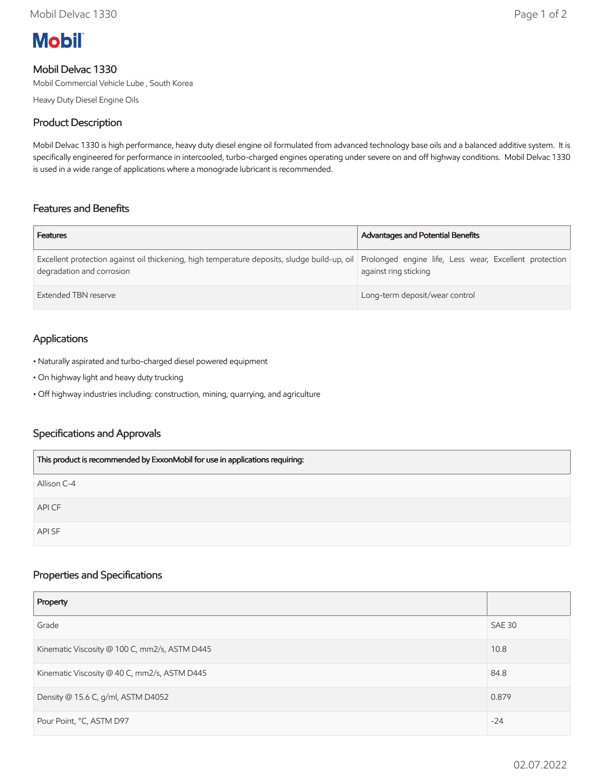

# Mobil Delvac 1330

Mobil Commercial Vehicle Lube , South Korea

Heavy Duty Diesel Engine Oils

## Product Description

Mobil Delvac 1330 is high performance, heavy duty diesel engine oil formulated from advanced technology base oils and a balanced additive system. It is specifically engineered for performance in intercooled, turbo-charged engines operating under severe on and off highway conditions. Mobil Delvac 1330 is used in a wide range of applications where a monograde lubricant is recommended.

## Features and Benefits

| <b>Features</b>                                                                                                                                                                  | <b>Advantages and Potential Benefits</b> |
|----------------------------------------------------------------------------------------------------------------------------------------------------------------------------------|------------------------------------------|
| Excellent protection against oil thickening, high temperature deposits, sludge build-up, oil Prolonged engine life, Less wear, Excellent protection<br>degradation and corrosion | against ring sticking                    |
| Extended TBN reserve                                                                                                                                                             | Long-term deposit/wear control           |

# Applications

- Naturally aspirated and turbo-charged diesel powered equipment
- On highway light and heavy duty trucking
- Off highway industries including: construction, mining, quarrying, and agriculture

## Specifications and Approvals

| This product is recommended by ExxonMobil for use in applications requiring: |
|------------------------------------------------------------------------------|
| Allison C-4                                                                  |
| API CF                                                                       |
| <b>APISF</b>                                                                 |

## Properties and Specifications

| Property                                      |        |
|-----------------------------------------------|--------|
| Grade                                         | SAE 30 |
| Kinematic Viscosity @ 100 C, mm2/s, ASTM D445 | 10.8   |
| Kinematic Viscosity @ 40 C, mm2/s, ASTM D445  | 84.8   |
| Density @ 15.6 C, g/ml, ASTM D4052            | 0.879  |
| Pour Point, °C, ASTM D97                      | $-24$  |